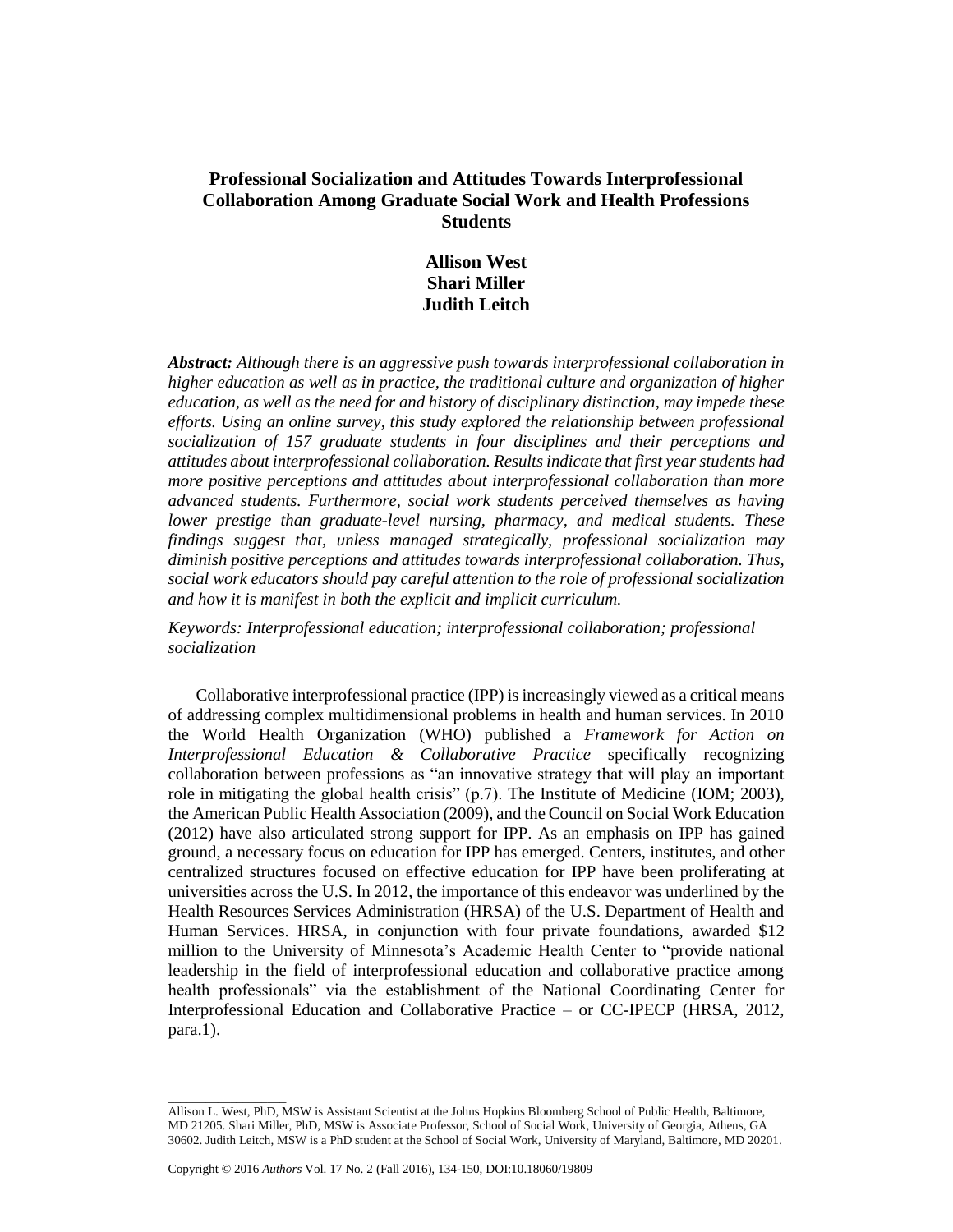# **Professional Socialization and Attitudes Towards Interprofessional Collaboration Among Graduate Social Work and Health Professions Students**

# **Allison West Shari Miller Judith Leitch**

*Abstract: Although there is an aggressive push towards interprofessional collaboration in higher education as well as in practice, the traditional culture and organization of higher education, as well as the need for and history of disciplinary distinction, may impede these efforts. Using an online survey, this study explored the relationship between professional socialization of 157 graduate students in four disciplines and their perceptions and attitudes about interprofessional collaboration. Results indicate that first year students had more positive perceptions and attitudes about interprofessional collaboration than more advanced students. Furthermore, social work students perceived themselves as having lower prestige than graduate-level nursing, pharmacy, and medical students. These findings suggest that, unless managed strategically, professional socialization may diminish positive perceptions and attitudes towards interprofessional collaboration. Thus, social work educators should pay careful attention to the role of professional socialization and how it is manifest in both the explicit and implicit curriculum.*

*Keywords: Interprofessional education; interprofessional collaboration; professional socialization*

Collaborative interprofessional practice (IPP) is increasingly viewed as a critical means of addressing complex multidimensional problems in health and human services. In 2010 the World Health Organization (WHO) published a *Framework for Action on Interprofessional Education & Collaborative Practice* specifically recognizing collaboration between professions as "an innovative strategy that will play an important role in mitigating the global health crisis" (p.7). The Institute of Medicine (IOM; 2003), the American Public Health Association (2009), and the Council on Social Work Education (2012) have also articulated strong support for IPP. As an emphasis on IPP has gained ground, a necessary focus on education for IPP has emerged. Centers, institutes, and other centralized structures focused on effective education for IPP have been proliferating at universities across the U.S. In 2012, the importance of this endeavor was underlined by the Health Resources Services Administration (HRSA) of the U.S. Department of Health and Human Services. HRSA, in conjunction with four private foundations, awarded \$12 million to the University of Minnesota's Academic Health Center to "provide national leadership in the field of interprofessional education and collaborative practice among health professionals" via the establishment of the National Coordinating Center for Interprofessional Education and Collaborative Practice – or CC-IPECP (HRSA, 2012, para.1).

 $\_$ 

Allison L. West, PhD, MSW is Assistant Scientist at the Johns Hopkins Bloomberg School of Public Health, Baltimore, MD 21205. Shari Miller, PhD, MSW is Associate Professor, School of Social Work, University of Georgia, Athens, GA 30602. Judith Leitch, MSW is a PhD student at the School of Social Work, University of Maryland, Baltimore, MD 20201.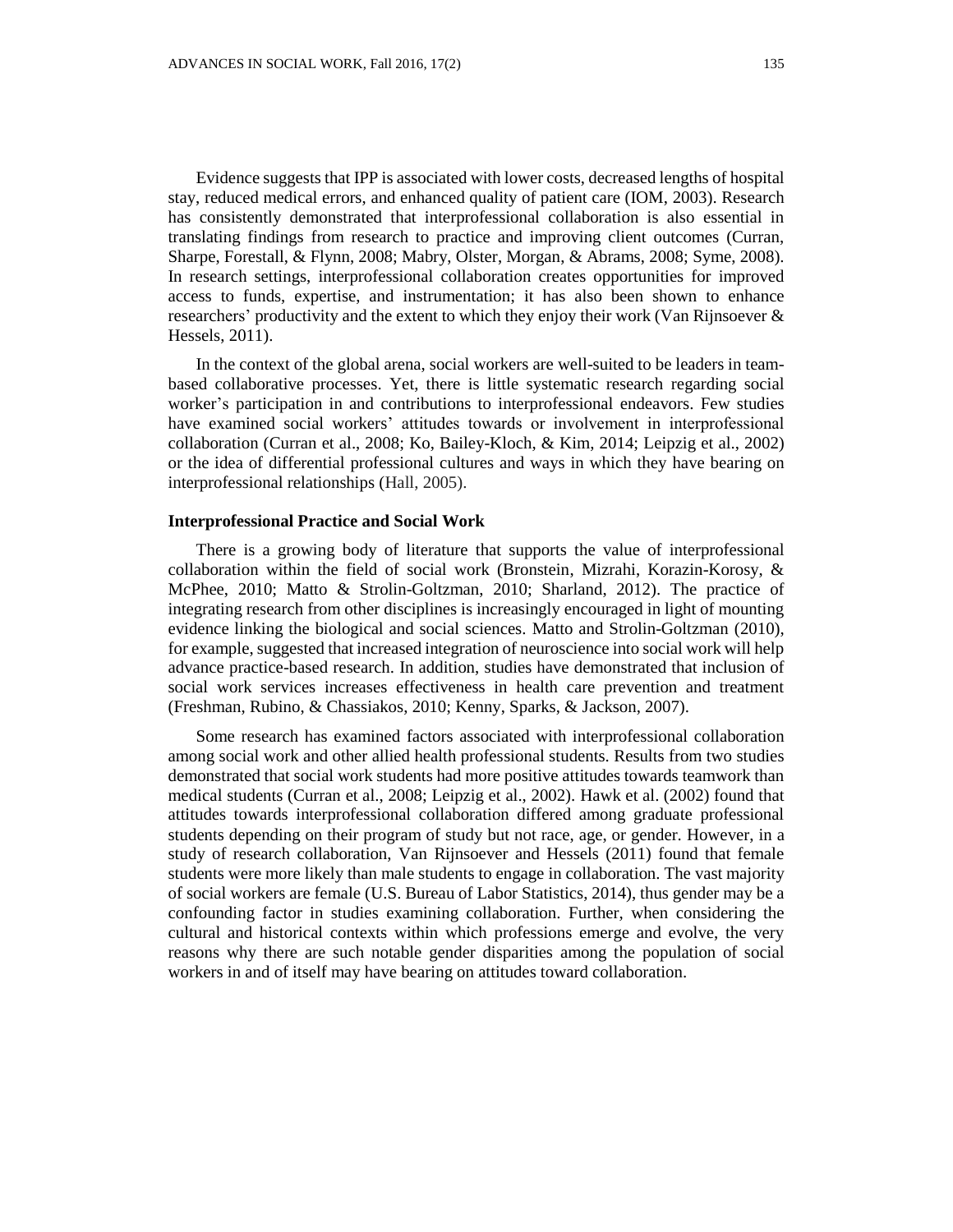Evidence suggests that IPP is associated with lower costs, decreased lengths of hospital stay, reduced medical errors, and enhanced quality of patient care (IOM, 2003). Research has consistently demonstrated that interprofessional collaboration is also essential in translating findings from research to practice and improving client outcomes (Curran, Sharpe, Forestall, & Flynn, 2008; Mabry, Olster, Morgan, & Abrams, 2008; Syme, 2008). In research settings, interprofessional collaboration creates opportunities for improved access to funds, expertise, and instrumentation; it has also been shown to enhance researchers' productivity and the extent to which they enjoy their work (Van Rijnsoever & Hessels, 2011).

In the context of the global arena, social workers are well-suited to be leaders in teambased collaborative processes. Yet, there is little systematic research regarding social worker's participation in and contributions to interprofessional endeavors. Few studies have examined social workers' attitudes towards or involvement in interprofessional collaboration (Curran et al., 2008; Ko, Bailey-Kloch, & Kim, 2014; Leipzig et al., 2002) or the idea of differential professional cultures and ways in which they have bearing on interprofessional relationships (Hall, 2005).

# **Interprofessional Practice and Social Work**

There is a growing body of literature that supports the value of interprofessional collaboration within the field of social work (Bronstein, Mizrahi, Korazin-Korosy, & McPhee, 2010; Matto & Strolin-Goltzman, 2010; Sharland, 2012). The practice of integrating research from other disciplines is increasingly encouraged in light of mounting evidence linking the biological and social sciences. Matto and Strolin-Goltzman (2010), for example, suggested that increased integration of neuroscience into social work will help advance practice-based research. In addition, studies have demonstrated that inclusion of social work services increases effectiveness in health care prevention and treatment (Freshman, Rubino, & Chassiakos, 2010; Kenny, Sparks, & Jackson, 2007).

Some research has examined factors associated with interprofessional collaboration among social work and other allied health professional students. Results from two studies demonstrated that social work students had more positive attitudes towards teamwork than medical students (Curran et al., 2008; Leipzig et al., 2002). Hawk et al. (2002) found that attitudes towards interprofessional collaboration differed among graduate professional students depending on their program of study but not race, age, or gender. However, in a study of research collaboration, Van Rijnsoever and Hessels (2011) found that female students were more likely than male students to engage in collaboration. The vast majority of social workers are female (U.S. Bureau of Labor Statistics, 2014), thus gender may be a confounding factor in studies examining collaboration. Further, when considering the cultural and historical contexts within which professions emerge and evolve, the very reasons why there are such notable gender disparities among the population of social workers in and of itself may have bearing on attitudes toward collaboration.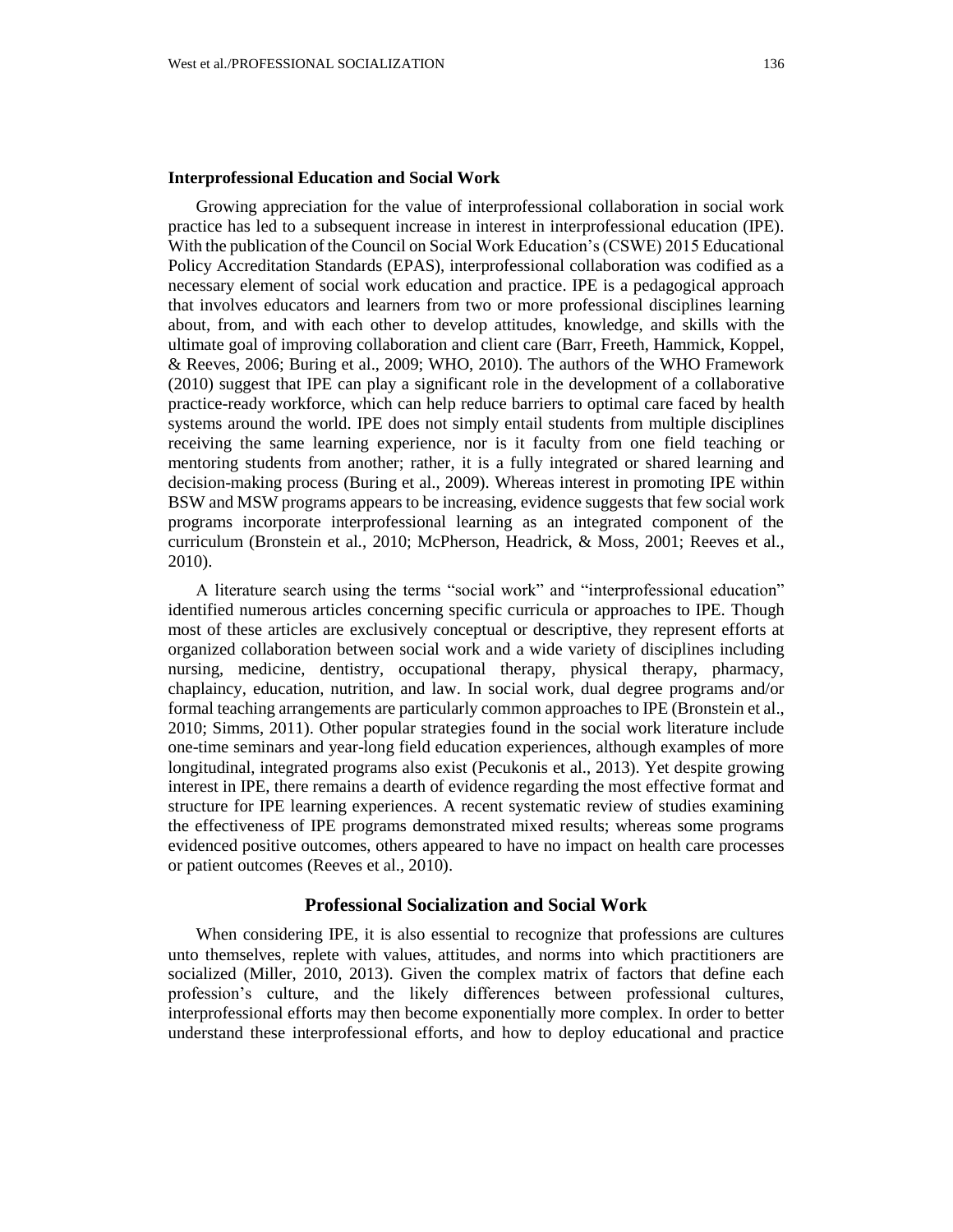# **Interprofessional Education and Social Work**

Growing appreciation for the value of interprofessional collaboration in social work practice has led to a subsequent increase in interest in interprofessional education (IPE). With the publication of the Council on Social Work Education's (CSWE) 2015 Educational Policy Accreditation Standards (EPAS), interprofessional collaboration was codified as a necessary element of social work education and practice. IPE is a pedagogical approach that involves educators and learners from two or more professional disciplines learning about, from, and with each other to develop attitudes, knowledge, and skills with the ultimate goal of improving collaboration and client care (Barr, Freeth, Hammick, Koppel, & Reeves, 2006; Buring et al., 2009; WHO, 2010). The authors of the WHO Framework (2010) suggest that IPE can play a significant role in the development of a collaborative practice-ready workforce, which can help reduce barriers to optimal care faced by health systems around the world. IPE does not simply entail students from multiple disciplines receiving the same learning experience, nor is it faculty from one field teaching or mentoring students from another; rather, it is a fully integrated or shared learning and decision-making process (Buring et al., 2009). Whereas interest in promoting IPE within BSW and MSW programs appears to be increasing, evidence suggests that few social work programs incorporate interprofessional learning as an integrated component of the curriculum (Bronstein et al., 2010; McPherson, Headrick, & Moss, 2001; Reeves et al., 2010).

A literature search using the terms "social work" and "interprofessional education" identified numerous articles concerning specific curricula or approaches to IPE. Though most of these articles are exclusively conceptual or descriptive, they represent efforts at organized collaboration between social work and a wide variety of disciplines including nursing, medicine, dentistry, occupational therapy, physical therapy, pharmacy, chaplaincy, education, nutrition, and law. In social work, dual degree programs and/or formal teaching arrangements are particularly common approaches to IPE (Bronstein et al., 2010; Simms, 2011). Other popular strategies found in the social work literature include one-time seminars and year-long field education experiences, although examples of more longitudinal, integrated programs also exist (Pecukonis et al., 2013). Yet despite growing interest in IPE, there remains a dearth of evidence regarding the most effective format and structure for IPE learning experiences. A recent systematic review of studies examining the effectiveness of IPE programs demonstrated mixed results; whereas some programs evidenced positive outcomes, others appeared to have no impact on health care processes or patient outcomes (Reeves et al., 2010).

# **Professional Socialization and Social Work**

When considering IPE, it is also essential to recognize that professions are cultures unto themselves, replete with values, attitudes, and norms into which practitioners are socialized (Miller, 2010, 2013). Given the complex matrix of factors that define each profession's culture, and the likely differences between professional cultures, interprofessional efforts may then become exponentially more complex. In order to better understand these interprofessional efforts, and how to deploy educational and practice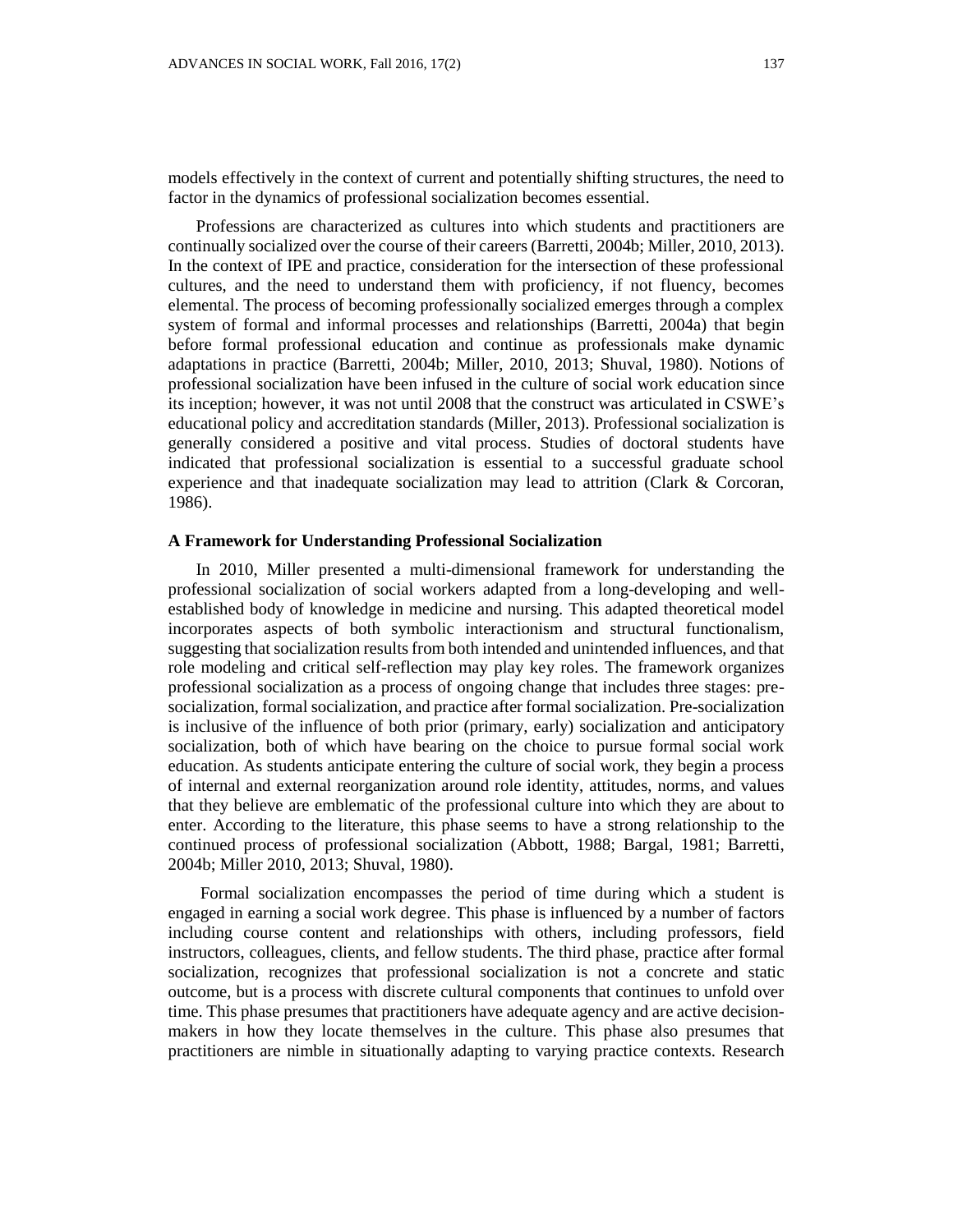models effectively in the context of current and potentially shifting structures, the need to factor in the dynamics of professional socialization becomes essential.

Professions are characterized as cultures into which students and practitioners are continually socialized over the course of their careers (Barretti, 2004b; Miller, 2010, 2013). In the context of IPE and practice, consideration for the intersection of these professional cultures, and the need to understand them with proficiency, if not fluency, becomes elemental. The process of becoming professionally socialized emerges through a complex system of formal and informal processes and relationships (Barretti, 2004a) that begin before formal professional education and continue as professionals make dynamic adaptations in practice (Barretti, 2004b; Miller, 2010, 2013; Shuval, 1980). Notions of professional socialization have been infused in the culture of social work education since its inception; however, it was not until 2008 that the construct was articulated in CSWE's educational policy and accreditation standards (Miller, 2013). Professional socialization is generally considered a positive and vital process. Studies of doctoral students have indicated that professional socialization is essential to a successful graduate school experience and that inadequate socialization may lead to attrition (Clark & Corcoran, 1986).

# **A Framework for Understanding Professional Socialization**

In 2010, Miller presented a multi-dimensional framework for understanding the professional socialization of social workers adapted from a long-developing and wellestablished body of knowledge in medicine and nursing. This adapted theoretical model incorporates aspects of both symbolic interactionism and structural functionalism, suggesting that socialization results from both intended and unintended influences, and that role modeling and critical self-reflection may play key roles. The framework organizes professional socialization as a process of ongoing change that includes three stages: presocialization, formal socialization, and practice after formal socialization. Pre-socialization is inclusive of the influence of both prior (primary, early) socialization and anticipatory socialization, both of which have bearing on the choice to pursue formal social work education. As students anticipate entering the culture of social work, they begin a process of internal and external reorganization around role identity, attitudes, norms, and values that they believe are emblematic of the professional culture into which they are about to enter. According to the literature, this phase seems to have a strong relationship to the continued process of professional socialization (Abbott, 1988; Bargal, 1981; Barretti, 2004b; Miller 2010, 2013; Shuval, 1980).

Formal socialization encompasses the period of time during which a student is engaged in earning a social work degree. This phase is influenced by a number of factors including course content and relationships with others, including professors, field instructors, colleagues, clients, and fellow students. The third phase, practice after formal socialization, recognizes that professional socialization is not a concrete and static outcome, but is a process with discrete cultural components that continues to unfold over time. This phase presumes that practitioners have adequate agency and are active decisionmakers in how they locate themselves in the culture. This phase also presumes that practitioners are nimble in situationally adapting to varying practice contexts. Research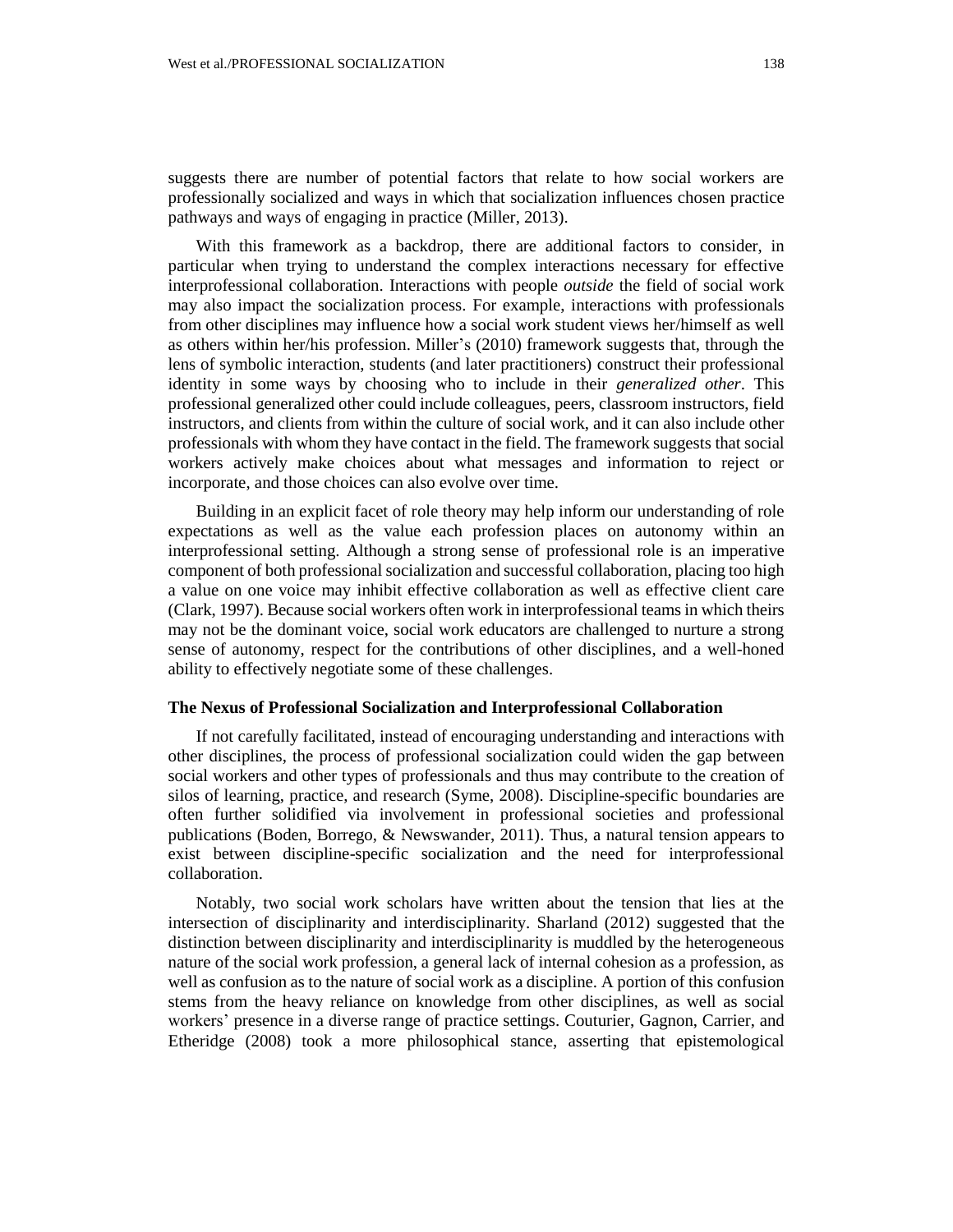suggests there are number of potential factors that relate to how social workers are professionally socialized and ways in which that socialization influences chosen practice pathways and ways of engaging in practice (Miller, 2013).

With this framework as a backdrop, there are additional factors to consider, in particular when trying to understand the complex interactions necessary for effective interprofessional collaboration. Interactions with people *outside* the field of social work may also impact the socialization process. For example, interactions with professionals from other disciplines may influence how a social work student views her/himself as well as others within her/his profession. Miller's (2010) framework suggests that, through the lens of symbolic interaction, students (and later practitioners) construct their professional identity in some ways by choosing who to include in their *generalized other*. This professional generalized other could include colleagues, peers, classroom instructors, field instructors, and clients from within the culture of social work, and it can also include other professionals with whom they have contact in the field. The framework suggests that social workers actively make choices about what messages and information to reject or incorporate, and those choices can also evolve over time.

Building in an explicit facet of role theory may help inform our understanding of role expectations as well as the value each profession places on autonomy within an interprofessional setting. Although a strong sense of professional role is an imperative component of both professional socialization and successful collaboration, placing too high a value on one voice may inhibit effective collaboration as well as effective client care (Clark, 1997). Because social workers often work in interprofessional teams in which theirs may not be the dominant voice, social work educators are challenged to nurture a strong sense of autonomy, respect for the contributions of other disciplines, and a well-honed ability to effectively negotiate some of these challenges.

### **The Nexus of Professional Socialization and Interprofessional Collaboration**

If not carefully facilitated, instead of encouraging understanding and interactions with other disciplines, the process of professional socialization could widen the gap between social workers and other types of professionals and thus may contribute to the creation of silos of learning, practice, and research (Syme, 2008). Discipline-specific boundaries are often further solidified via involvement in professional societies and professional publications (Boden, Borrego, & Newswander, 2011). Thus, a natural tension appears to exist between discipline-specific socialization and the need for interprofessional collaboration.

Notably, two social work scholars have written about the tension that lies at the intersection of disciplinarity and interdisciplinarity. Sharland (2012) suggested that the distinction between disciplinarity and interdisciplinarity is muddled by the heterogeneous nature of the social work profession, a general lack of internal cohesion as a profession, as well as confusion as to the nature of social work as a discipline. A portion of this confusion stems from the heavy reliance on knowledge from other disciplines, as well as social workers' presence in a diverse range of practice settings. Couturier, Gagnon, Carrier, and Etheridge (2008) took a more philosophical stance, asserting that epistemological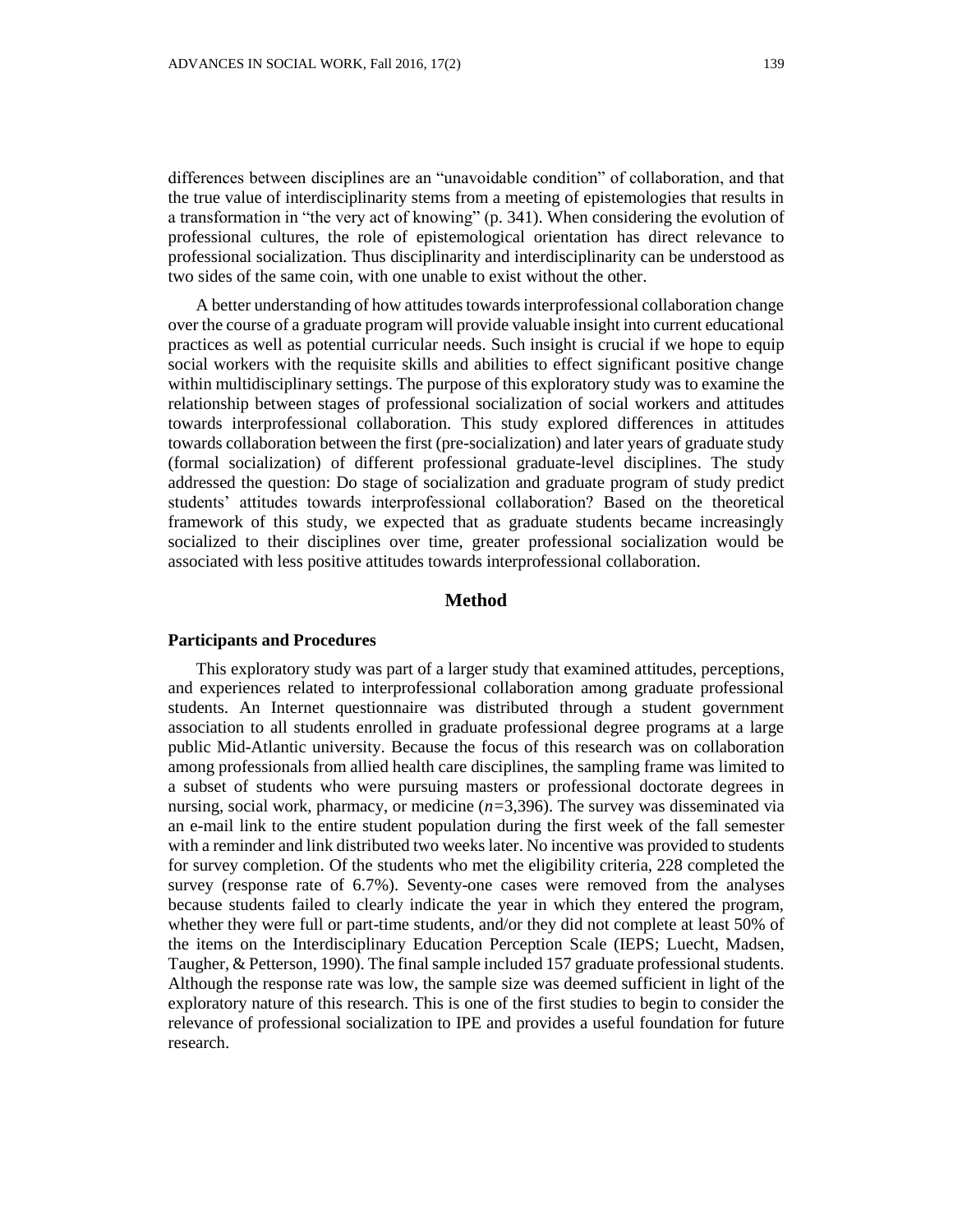differences between disciplines are an "unavoidable condition" of collaboration, and that the true value of interdisciplinarity stems from a meeting of epistemologies that results in a transformation in "the very act of knowing" (p. 341). When considering the evolution of professional cultures, the role of epistemological orientation has direct relevance to professional socialization. Thus disciplinarity and interdisciplinarity can be understood as two sides of the same coin, with one unable to exist without the other.

A better understanding of how attitudes towards interprofessional collaboration change over the course of a graduate program will provide valuable insight into current educational practices as well as potential curricular needs. Such insight is crucial if we hope to equip social workers with the requisite skills and abilities to effect significant positive change within multidisciplinary settings. The purpose of this exploratory study was to examine the relationship between stages of professional socialization of social workers and attitudes towards interprofessional collaboration. This study explored differences in attitudes towards collaboration between the first (pre-socialization) and later years of graduate study (formal socialization) of different professional graduate-level disciplines. The study addressed the question: Do stage of socialization and graduate program of study predict students' attitudes towards interprofessional collaboration? Based on the theoretical framework of this study, we expected that as graduate students became increasingly socialized to their disciplines over time, greater professional socialization would be associated with less positive attitudes towards interprofessional collaboration.

# **Method**

## **Participants and Procedures**

This exploratory study was part of a larger study that examined attitudes, perceptions, and experiences related to interprofessional collaboration among graduate professional students. An Internet questionnaire was distributed through a student government association to all students enrolled in graduate professional degree programs at a large public Mid-Atlantic university. Because the focus of this research was on collaboration among professionals from allied health care disciplines, the sampling frame was limited to a subset of students who were pursuing masters or professional doctorate degrees in nursing, social work, pharmacy, or medicine (*n=*3,396). The survey was disseminated via an e-mail link to the entire student population during the first week of the fall semester with a reminder and link distributed two weeks later. No incentive was provided to students for survey completion. Of the students who met the eligibility criteria, 228 completed the survey (response rate of 6.7%). Seventy-one cases were removed from the analyses because students failed to clearly indicate the year in which they entered the program, whether they were full or part-time students, and/or they did not complete at least 50% of the items on the Interdisciplinary Education Perception Scale (IEPS; Luecht, Madsen, Taugher, & Petterson, 1990). The final sample included 157 graduate professional students. Although the response rate was low, the sample size was deemed sufficient in light of the exploratory nature of this research. This is one of the first studies to begin to consider the relevance of professional socialization to IPE and provides a useful foundation for future research.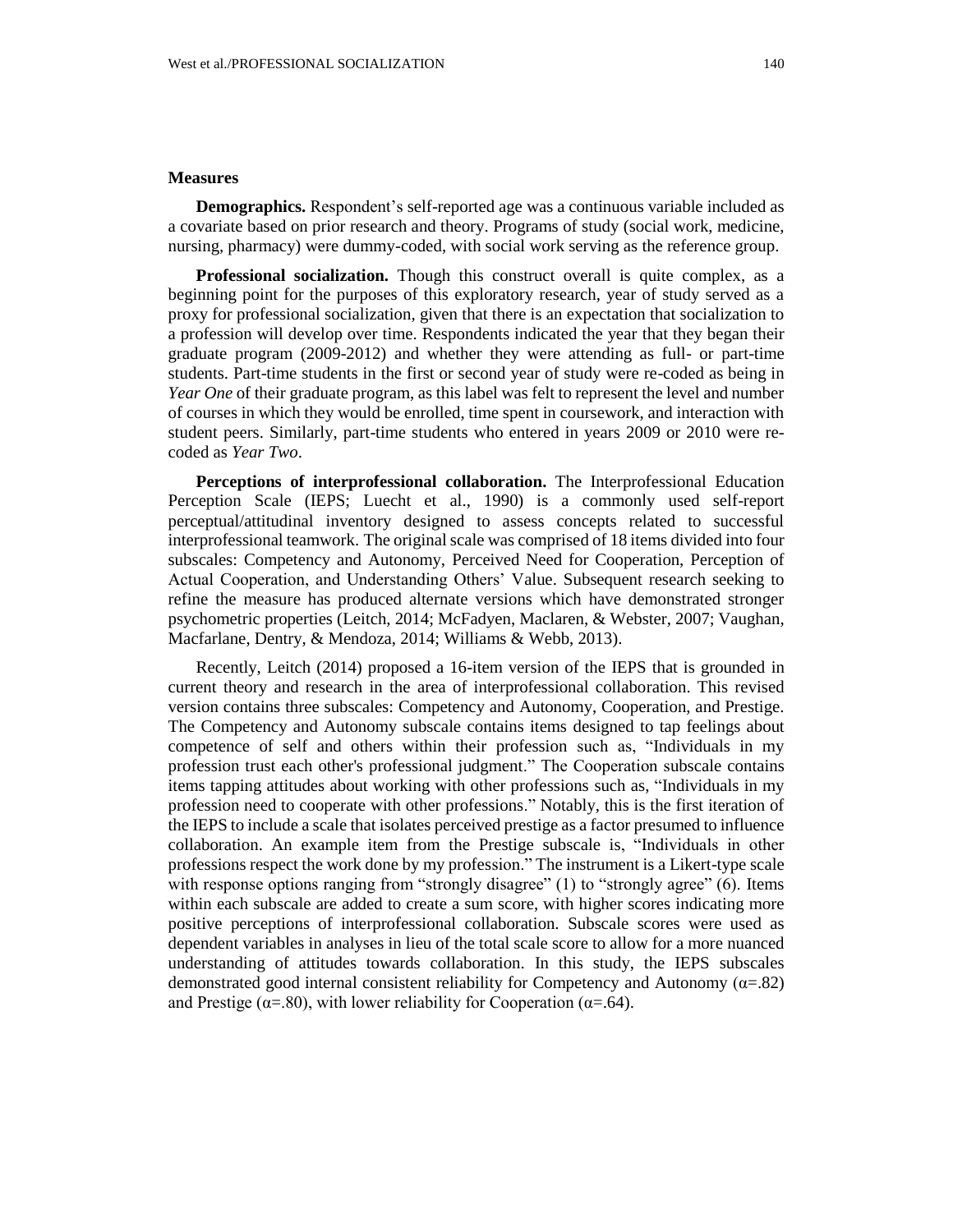# **Measures**

**Demographics.** Respondent's self-reported age was a continuous variable included as a covariate based on prior research and theory. Programs of study (social work, medicine, nursing, pharmacy) were dummy-coded, with social work serving as the reference group.

**Professional socialization.** Though this construct overall is quite complex, as a beginning point for the purposes of this exploratory research, year of study served as a proxy for professional socialization, given that there is an expectation that socialization to a profession will develop over time. Respondents indicated the year that they began their graduate program (2009-2012) and whether they were attending as full- or part-time students. Part-time students in the first or second year of study were re-coded as being in *Year One* of their graduate program, as this label was felt to represent the level and number of courses in which they would be enrolled, time spent in coursework, and interaction with student peers. Similarly, part-time students who entered in years 2009 or 2010 were recoded as *Year Two*.

**Perceptions of interprofessional collaboration.** The Interprofessional Education Perception Scale (IEPS; Luecht et al., 1990) is a commonly used self-report perceptual/attitudinal inventory designed to assess concepts related to successful interprofessional teamwork. The original scale was comprised of 18 items divided into four subscales: Competency and Autonomy, Perceived Need for Cooperation, Perception of Actual Cooperation, and Understanding Others' Value. Subsequent research seeking to refine the measure has produced alternate versions which have demonstrated stronger psychometric properties (Leitch, 2014; McFadyen, Maclaren, & Webster, 2007; Vaughan, Macfarlane, Dentry, & Mendoza, 2014; Williams & Webb, 2013).

Recently, Leitch (2014) proposed a 16-item version of the IEPS that is grounded in current theory and research in the area of interprofessional collaboration. This revised version contains three subscales: Competency and Autonomy, Cooperation, and Prestige. The Competency and Autonomy subscale contains items designed to tap feelings about competence of self and others within their profession such as, "Individuals in my profession trust each other's professional judgment." The Cooperation subscale contains items tapping attitudes about working with other professions such as, "Individuals in my profession need to cooperate with other professions." Notably, this is the first iteration of the IEPS to include a scale that isolates perceived prestige as a factor presumed to influence collaboration. An example item from the Prestige subscale is, "Individuals in other professions respect the work done by my profession." The instrument is a Likert-type scale with response options ranging from "strongly disagree" (1) to "strongly agree" (6). Items within each subscale are added to create a sum score, with higher scores indicating more positive perceptions of interprofessional collaboration. Subscale scores were used as dependent variables in analyses in lieu of the total scale score to allow for a more nuanced understanding of attitudes towards collaboration. In this study, the IEPS subscales demonstrated good internal consistent reliability for Competency and Autonomy  $(\alpha = .82)$ and Prestige ( $\alpha = .80$ ), with lower reliability for Cooperation ( $\alpha = .64$ ).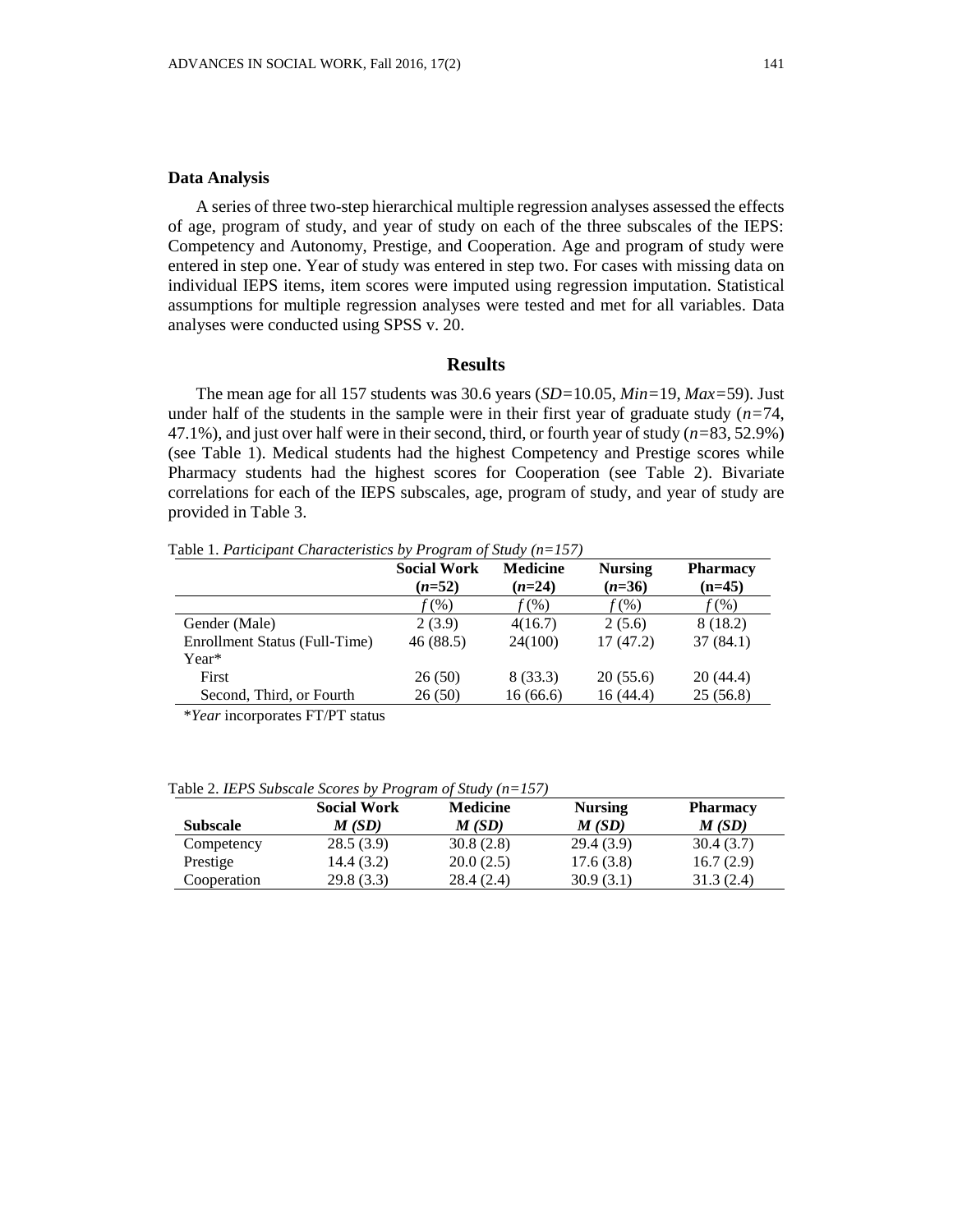A series of three two-step hierarchical multiple regression analyses assessed the effects of age, program of study, and year of study on each of the three subscales of the IEPS: Competency and Autonomy, Prestige, and Cooperation. Age and program of study were entered in step one. Year of study was entered in step two. For cases with missing data on individual IEPS items, item scores were imputed using regression imputation. Statistical assumptions for multiple regression analyses were tested and met for all variables. Data analyses were conducted using SPSS v. 20.

#### **Results**

The mean age for all 157 students was 30.6 years (*SD=*10.05, *Min=*19, *Max=*59). Just under half of the students in the sample were in their first year of graduate study  $(n=74)$ , 47.1%), and just over half were in their second, third, or fourth year of study (*n=*83, 52.9%) (see Table 1). Medical students had the highest Competency and Prestige scores while Pharmacy students had the highest scores for Cooperation (see Table 2). Bivariate correlations for each of the IEPS subscales, age, program of study, and year of study are provided in Table 3.

Table 1. *Participant Characteristics by Program of Study (n=157)*

|                               | <b>Social Work</b><br>$(n=52)$ | <b>Medicine</b><br>$(n=24)$ | <b>Nursing</b><br>$(n=36)$ | <b>Pharmacy</b><br>$(n=45)$ |
|-------------------------------|--------------------------------|-----------------------------|----------------------------|-----------------------------|
|                               | $f(\%)$                        | $f(\%)$                     | $f(\%)$                    | $f(\%)$                     |
| Gender (Male)                 | 2(3.9)                         | 4(16.7)                     | 2(5.6)                     | 8 (18.2)                    |
| Enrollment Status (Full-Time) | 46(88.5)                       | 24(100)                     | 17(47.2)                   | 37(84.1)                    |
| Year*                         |                                |                             |                            |                             |
| First                         | 26(50)                         | 8(33.3)                     | 20(55.6)                   | 20(44.4)                    |
| Second, Third, or Fourth      | 26(50)                         | 16(66.6)                    | 16 (44.4)                  | 25(56.8)                    |

\**Year* incorporates FT/PT status

Table 2. *IEPS Subscale Scores by Program of Study (n=157)*

|                 | <b>Social Work</b> | <b>Medicine</b> | <b>Nursing</b> | <b>Pharmacy</b> |
|-----------------|--------------------|-----------------|----------------|-----------------|
| <b>Subscale</b> | M(SD)              | M(SD)           | M(SD)          | M(SD)           |
| Competency      | 28.5(3.9)          | 30.8(2.8)       | 29.4(3.9)      | 30.4(3.7)       |
| Prestige        | 14.4 (3.2)         | 20.0(2.5)       | 17.6(3.8)      | 16.7(2.9)       |
| Cooperation     | 29.8(3.3)          | 28.4(2.4)       | 30.9(3.1)      | 31.3(2.4)       |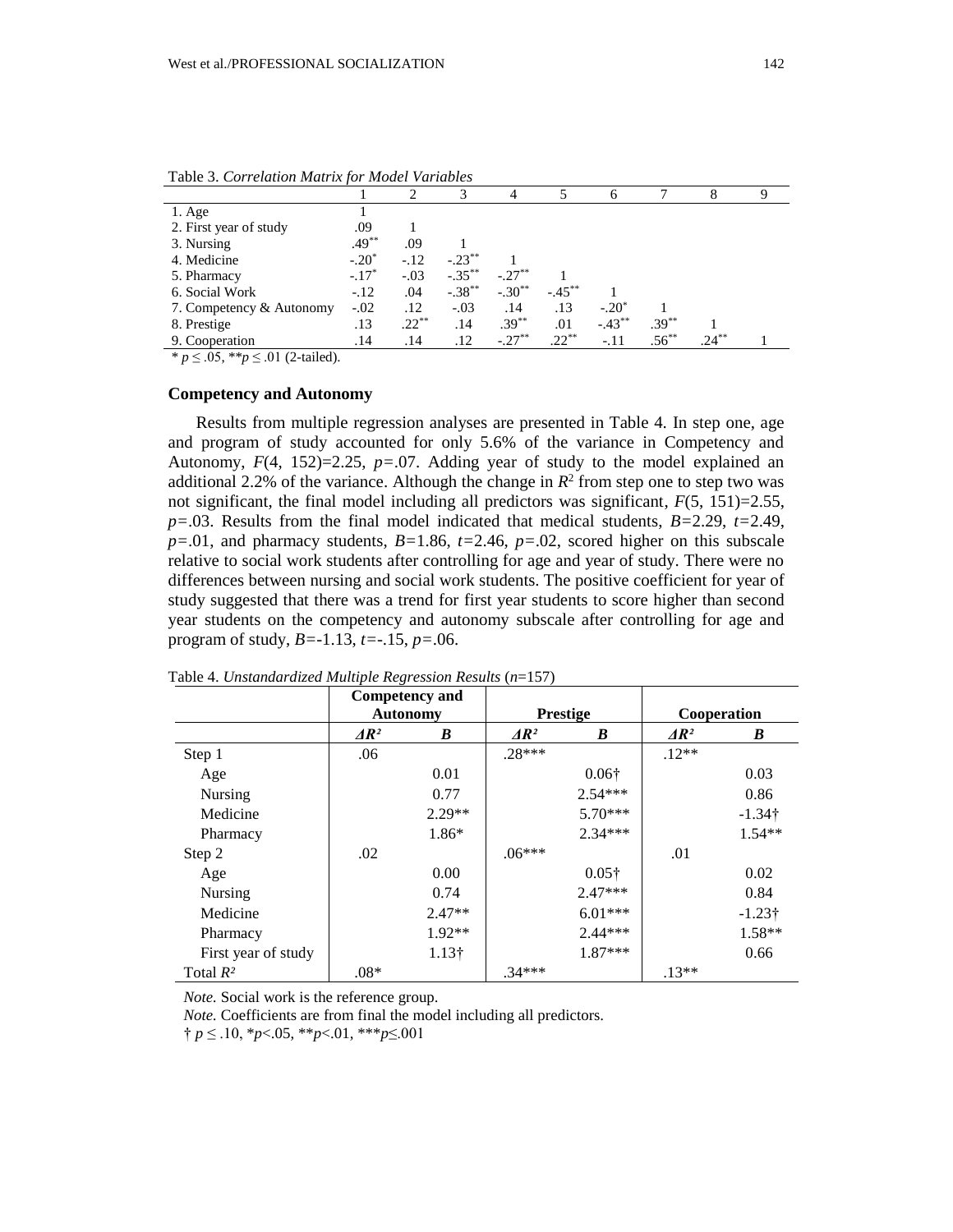| Table 5. Correlation main when mouth randoles |          |          |           |           |           |           |            |          |  |
|-----------------------------------------------|----------|----------|-----------|-----------|-----------|-----------|------------|----------|--|
|                                               |          |          |           |           |           |           |            |          |  |
| $1. \text{Age}$                               |          |          |           |           |           |           |            |          |  |
| 2. First year of study                        | .09      |          |           |           |           |           |            |          |  |
| 3. Nursing                                    | $.49***$ | .09      |           |           |           |           |            |          |  |
| 4. Medicine                                   | $-.20^*$ | $-.12$   | $-.23***$ |           |           |           |            |          |  |
| 5. Pharmacy                                   | $-.17*$  | $-.03$   | $-.35***$ | $-.27***$ |           |           |            |          |  |
| 6. Social Work                                | $-.12$   | .04      | $-.38***$ | $-.30**$  | $-.45***$ |           |            |          |  |
| 7. Competency & Autonomy                      | $-.02$   | .12      | $-.03$    | .14       | .13       | $-.20*$   |            |          |  |
| 8. Prestige                                   | .13      | $.22***$ | .14       | $.39***$  | .01       | $-.43***$ | $.39***$   |          |  |
| 9. Cooperation                                | .14      | .14      | .12       | $-.27***$ | $.22***$  | $-.11$    | $.56^{**}$ | $.24***$ |  |

Table 3. *Correlation Matrix for Model Variables*

\* *p* ≤ .05, \*\**p* ≤ .01 (2-tailed).

## **Competency and Autonomy**

Results from multiple regression analyses are presented in Table 4. In step one, age and program of study accounted for only 5.6% of the variance in Competency and Autonomy, *F*(4, 152)=2.25, *p=*.07. Adding year of study to the model explained an additional 2.2% of the variance. Although the change in  $R^2$  from step one to step two was not significant, the final model including all predictors was significant,  $F(5, 151)=2.55$ , *p=*.03. Results from the final model indicated that medical students, *B=*2.29, *t=*2.49,  $p=0.01$ , and pharmacy students,  $B=1.86$ ,  $t=2.46$ ,  $p=.02$ , scored higher on this subscale relative to social work students after controlling for age and year of study. There were no differences between nursing and social work students. The positive coefficient for year of study suggested that there was a trend for first year students to score higher than second year students on the competency and autonomy subscale after controlling for age and program of study, *B=*-1.13, *t=*-.15, *p=*.06.

|                     |              | <b>Competency and</b> |                   |                 |                   |                |
|---------------------|--------------|-----------------------|-------------------|-----------------|-------------------|----------------|
|                     |              | <b>Autonomy</b>       |                   | <b>Prestige</b> |                   | Cooperation    |
|                     | $\Delta R^2$ | B                     | $\overline{AR^2}$ | B               | $\overline{AR^2}$ | B              |
| Step 1              | .06          |                       | $.28***$          |                 | $.12**$           |                |
| Age                 |              | 0.01                  |                   | $0.06\dagger$   |                   | 0.03           |
| Nursing             |              | 0.77                  |                   | $2.54***$       |                   | 0.86           |
| Medicine            |              | $2.29**$              |                   | 5.70***         |                   | $-1.34\dagger$ |
| Pharmacy            |              | $1.86*$               |                   | $2.34***$       |                   | $1.54**$       |
| Step 2              | .02          |                       | $.06***$          |                 | .01               |                |
| Age                 |              | 0.00                  |                   | $0.05\dagger$   |                   | 0.02           |
| Nursing             |              | 0.74                  |                   | $2.47***$       |                   | 0.84           |
| Medicine            |              | $2.47**$              |                   | $6.01***$       |                   | $-1.23\dagger$ |
| Pharmacy            |              | $1.92**$              |                   | $2.44***$       |                   | $1.58**$       |
| First year of study |              | $1.13\dagger$         |                   | $1.87***$       |                   | 0.66           |
| Total $R^2$         | $.08*$       |                       | $.34***$          |                 | $.13**$           |                |

Table 4. *Unstandardized Multiple Regression Results* (*n*=157)

*Note.* Social work is the reference group.

*Note.* Coefficients are from final the model including all predictors.

† *p* ≤ .10, \**p*<.05, \*\**p*<.01, \*\*\**p*≤.001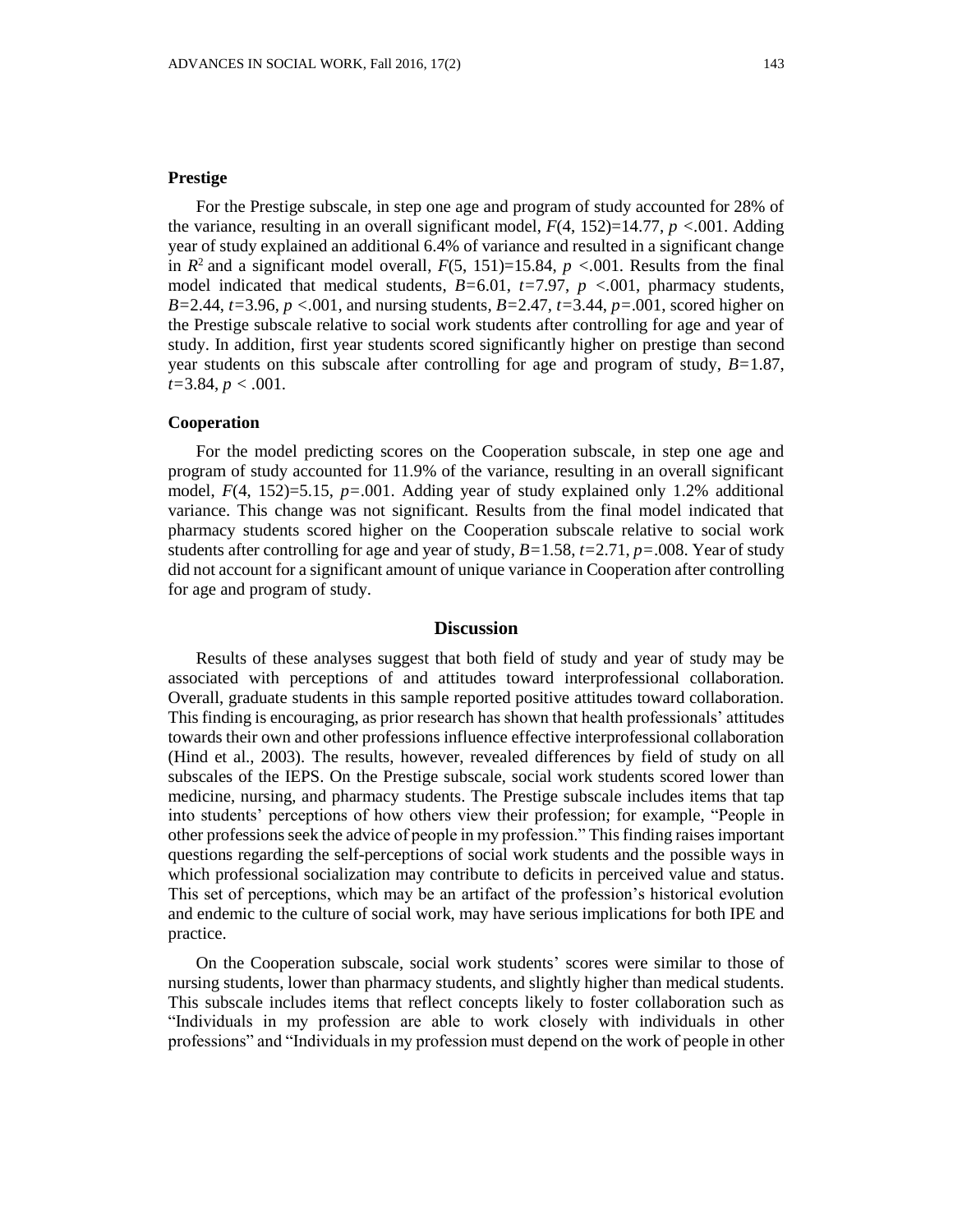# **Prestige**

For the Prestige subscale, in step one age and program of study accounted for 28% of the variance, resulting in an overall significant model,  $F(4, 152)=14.77$ ,  $p < .001$ . Adding year of study explained an additional 6.4% of variance and resulted in a significant change in  $R^2$  and a significant model overall,  $F(5, 151)=15.84$ ,  $p < .001$ . Results from the final model indicated that medical students, *B=*6.01, *t=*7.97, *p <.*001, pharmacy students, *B=*2.44, *t=*3.96, *p <.*001, and nursing students, *B=*2.47, *t=*3.44, *p=*.001, scored higher on the Prestige subscale relative to social work students after controlling for age and year of study. In addition, first year students scored significantly higher on prestige than second year students on this subscale after controlling for age and program of study, *B=*1.87, *t=*3.84, *p < .*001.

# **Cooperation**

For the model predicting scores on the Cooperation subscale, in step one age and program of study accounted for 11.9% of the variance, resulting in an overall significant model,  $F(4, 152)=5.15$ ,  $p=.001$ . Adding year of study explained only 1.2% additional variance. This change was not significant. Results from the final model indicated that pharmacy students scored higher on the Cooperation subscale relative to social work students after controlling for age and year of study, *B=*1.58, *t=*2.71, *p=*.008. Year of study did not account for a significant amount of unique variance in Cooperation after controlling for age and program of study.

# **Discussion**

Results of these analyses suggest that both field of study and year of study may be associated with perceptions of and attitudes toward interprofessional collaboration. Overall, graduate students in this sample reported positive attitudes toward collaboration. This finding is encouraging, as prior research has shown that health professionals' attitudes towards their own and other professions influence effective interprofessional collaboration (Hind et al., 2003). The results, however, revealed differences by field of study on all subscales of the IEPS. On the Prestige subscale, social work students scored lower than medicine, nursing, and pharmacy students. The Prestige subscale includes items that tap into students' perceptions of how others view their profession; for example, "People in other professions seek the advice of people in my profession." Thisfinding raises important questions regarding the self-perceptions of social work students and the possible ways in which professional socialization may contribute to deficits in perceived value and status. This set of perceptions, which may be an artifact of the profession's historical evolution and endemic to the culture of social work, may have serious implications for both IPE and practice.

On the Cooperation subscale, social work students' scores were similar to those of nursing students, lower than pharmacy students, and slightly higher than medical students. This subscale includes items that reflect concepts likely to foster collaboration such as "Individuals in my profession are able to work closely with individuals in other professions" and "Individuals in my profession must depend on the work of people in other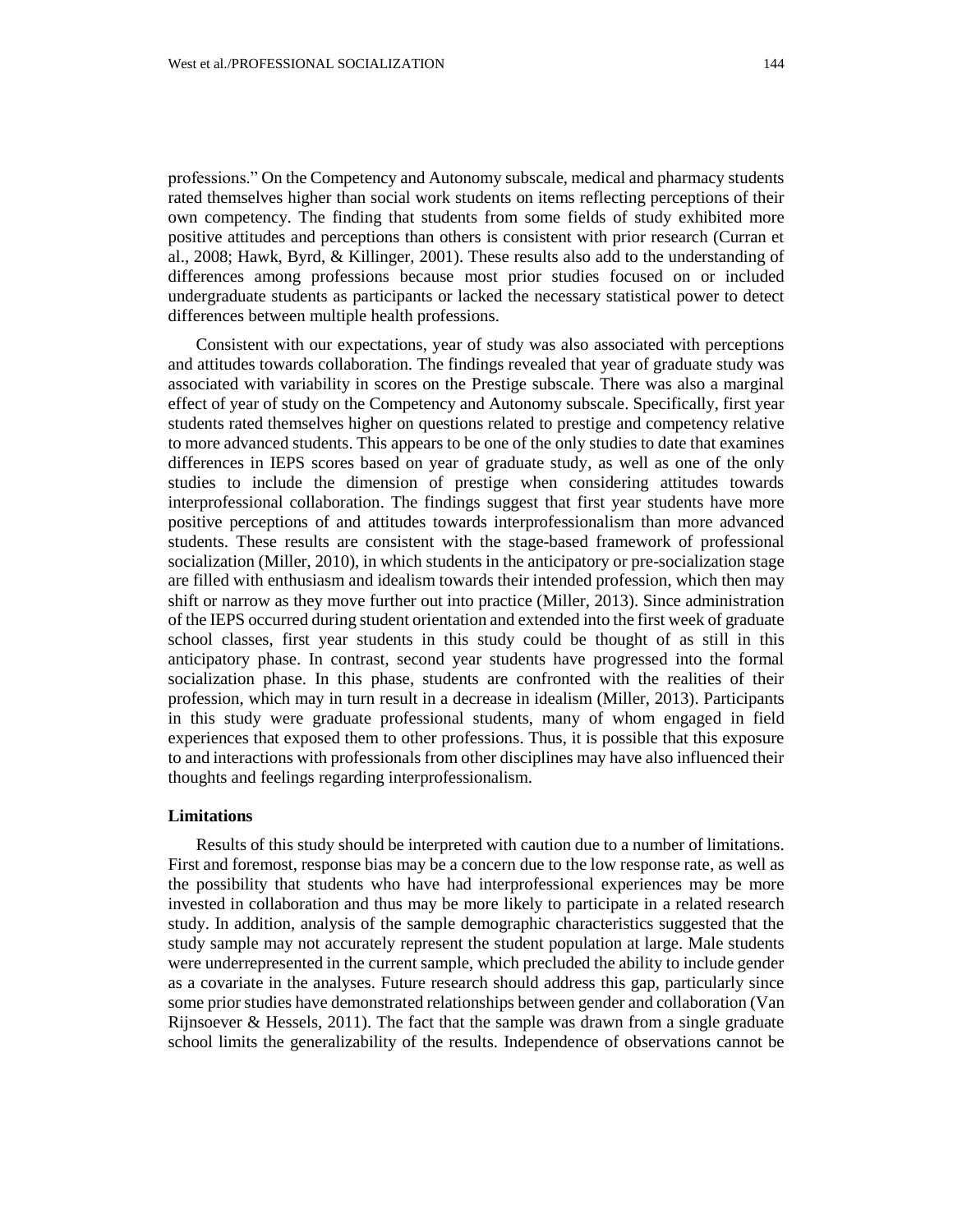professions." On the Competency and Autonomy subscale, medical and pharmacy students rated themselves higher than social work students on items reflecting perceptions of their own competency. The finding that students from some fields of study exhibited more positive attitudes and perceptions than others is consistent with prior research (Curran et al., 2008; Hawk, Byrd, & Killinger, 2001). These results also add to the understanding of differences among professions because most prior studies focused on or included undergraduate students as participants or lacked the necessary statistical power to detect differences between multiple health professions.

Consistent with our expectations, year of study was also associated with perceptions and attitudes towards collaboration. The findings revealed that year of graduate study was associated with variability in scores on the Prestige subscale. There was also a marginal effect of year of study on the Competency and Autonomy subscale. Specifically, first year students rated themselves higher on questions related to prestige and competency relative to more advanced students. This appears to be one of the only studies to date that examines differences in IEPS scores based on year of graduate study, as well as one of the only studies to include the dimension of prestige when considering attitudes towards interprofessional collaboration. The findings suggest that first year students have more positive perceptions of and attitudes towards interprofessionalism than more advanced students. These results are consistent with the stage-based framework of professional socialization (Miller, 2010), in which students in the anticipatory or pre-socialization stage are filled with enthusiasm and idealism towards their intended profession, which then may shift or narrow as they move further out into practice (Miller, 2013). Since administration of the IEPS occurred during student orientation and extended into the first week of graduate school classes, first year students in this study could be thought of as still in this anticipatory phase. In contrast, second year students have progressed into the formal socialization phase. In this phase, students are confronted with the realities of their profession, which may in turn result in a decrease in idealism (Miller, 2013). Participants in this study were graduate professional students, many of whom engaged in field experiences that exposed them to other professions. Thus, it is possible that this exposure to and interactions with professionals from other disciplines may have also influenced their thoughts and feelings regarding interprofessionalism.

#### **Limitations**

Results of this study should be interpreted with caution due to a number of limitations. First and foremost, response bias may be a concern due to the low response rate, as well as the possibility that students who have had interprofessional experiences may be more invested in collaboration and thus may be more likely to participate in a related research study. In addition, analysis of the sample demographic characteristics suggested that the study sample may not accurately represent the student population at large. Male students were underrepresented in the current sample, which precluded the ability to include gender as a covariate in the analyses. Future research should address this gap, particularly since some prior studies have demonstrated relationships between gender and collaboration (Van Rijnsoever & Hessels,  $2011$ ). The fact that the sample was drawn from a single graduate school limits the generalizability of the results. Independence of observations cannot be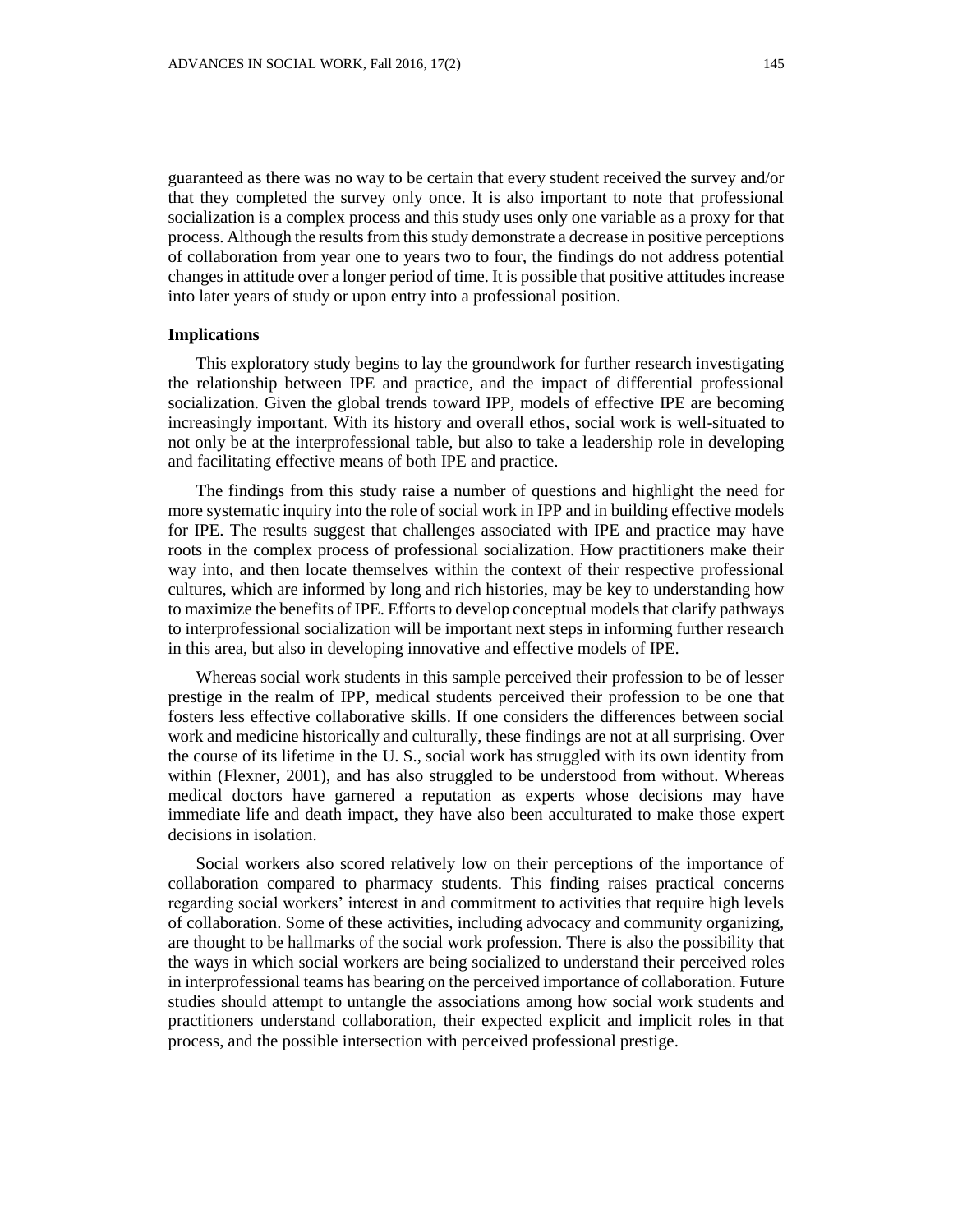guaranteed as there was no way to be certain that every student received the survey and/or that they completed the survey only once. It is also important to note that professional socialization is a complex process and this study uses only one variable as a proxy for that process. Although the results from this study demonstrate a decrease in positive perceptions of collaboration from year one to years two to four, the findings do not address potential changes in attitude over a longer period of time. It is possible that positive attitudes increase into later years of study or upon entry into a professional position.

# **Implications**

This exploratory study begins to lay the groundwork for further research investigating the relationship between IPE and practice, and the impact of differential professional socialization. Given the global trends toward IPP, models of effective IPE are becoming increasingly important. With its history and overall ethos, social work is well-situated to not only be at the interprofessional table, but also to take a leadership role in developing and facilitating effective means of both IPE and practice.

The findings from this study raise a number of questions and highlight the need for more systematic inquiry into the role of social work in IPP and in building effective models for IPE. The results suggest that challenges associated with IPE and practice may have roots in the complex process of professional socialization. How practitioners make their way into, and then locate themselves within the context of their respective professional cultures, which are informed by long and rich histories, may be key to understanding how to maximize the benefits of IPE. Efforts to develop conceptual models that clarify pathways to interprofessional socialization will be important next steps in informing further research in this area, but also in developing innovative and effective models of IPE.

Whereas social work students in this sample perceived their profession to be of lesser prestige in the realm of IPP, medical students perceived their profession to be one that fosters less effective collaborative skills. If one considers the differences between social work and medicine historically and culturally, these findings are not at all surprising. Over the course of its lifetime in the U. S., social work has struggled with its own identity from within (Flexner, 2001), and has also struggled to be understood from without. Whereas medical doctors have garnered a reputation as experts whose decisions may have immediate life and death impact, they have also been acculturated to make those expert decisions in isolation.

Social workers also scored relatively low on their perceptions of the importance of collaboration compared to pharmacy students. This finding raises practical concerns regarding social workers' interest in and commitment to activities that require high levels of collaboration. Some of these activities, including advocacy and community organizing, are thought to be hallmarks of the social work profession. There is also the possibility that the ways in which social workers are being socialized to understand their perceived roles in interprofessional teams has bearing on the perceived importance of collaboration. Future studies should attempt to untangle the associations among how social work students and practitioners understand collaboration, their expected explicit and implicit roles in that process, and the possible intersection with perceived professional prestige.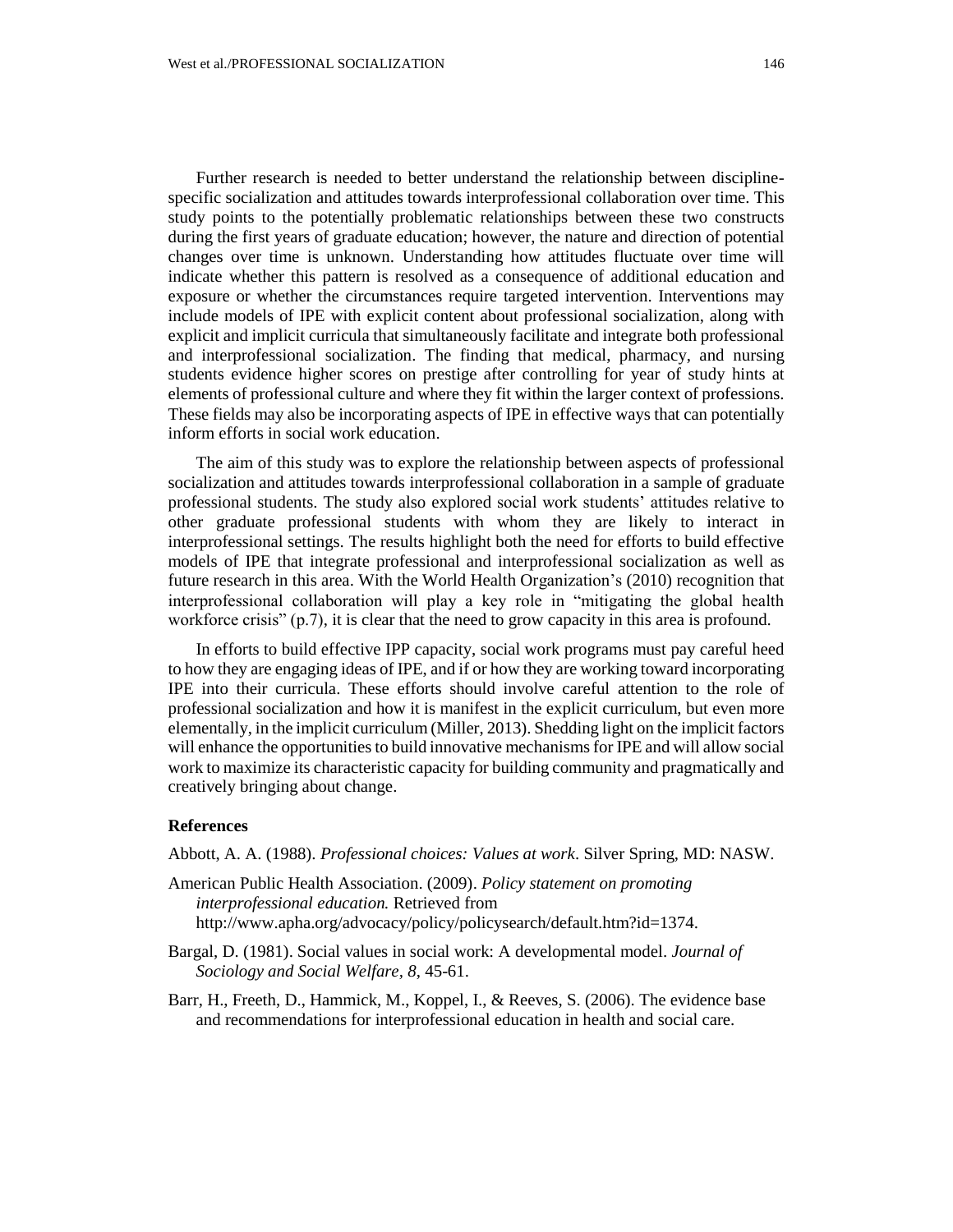Further research is needed to better understand the relationship between disciplinespecific socialization and attitudes towards interprofessional collaboration over time. This study points to the potentially problematic relationships between these two constructs during the first years of graduate education; however, the nature and direction of potential changes over time is unknown. Understanding how attitudes fluctuate over time will indicate whether this pattern is resolved as a consequence of additional education and exposure or whether the circumstances require targeted intervention. Interventions may include models of IPE with explicit content about professional socialization, along with explicit and implicit curricula that simultaneously facilitate and integrate both professional and interprofessional socialization. The finding that medical, pharmacy, and nursing students evidence higher scores on prestige after controlling for year of study hints at elements of professional culture and where they fit within the larger context of professions. These fields may also be incorporating aspects of IPE in effective ways that can potentially inform efforts in social work education.

The aim of this study was to explore the relationship between aspects of professional socialization and attitudes towards interprofessional collaboration in a sample of graduate professional students. The study also explored social work students' attitudes relative to other graduate professional students with whom they are likely to interact in interprofessional settings. The results highlight both the need for efforts to build effective models of IPE that integrate professional and interprofessional socialization as well as future research in this area. With the World Health Organization's (2010) recognition that interprofessional collaboration will play a key role in "mitigating the global health workforce crisis" (p.7), it is clear that the need to grow capacity in this area is profound.

In efforts to build effective IPP capacity, social work programs must pay careful heed to how they are engaging ideas of IPE, and if or how they are working toward incorporating IPE into their curricula. These efforts should involve careful attention to the role of professional socialization and how it is manifest in the explicit curriculum, but even more elementally, in the implicit curriculum (Miller, 2013). Shedding light on the implicit factors will enhance the opportunities to build innovative mechanisms for IPE and will allow social work to maximize its characteristic capacity for building community and pragmatically and creatively bringing about change.

## **References**

Abbott, A. A. (1988). *Professional choices: Values at work*. Silver Spring, MD: NASW.

- American Public Health Association. (2009). *Policy statement on promoting interprofessional education.* Retrieved from http://www.apha.org/advocacy/policy/policysearch/default.htm?id=1374.
- Bargal, D. (1981). Social values in social work: A developmental model. *Journal of Sociology and Social Welfare, 8*, 45-61.
- Barr, H., Freeth, D., Hammick, M., Koppel, I., & Reeves, S. (2006). The evidence base and recommendations for interprofessional education in health and social care.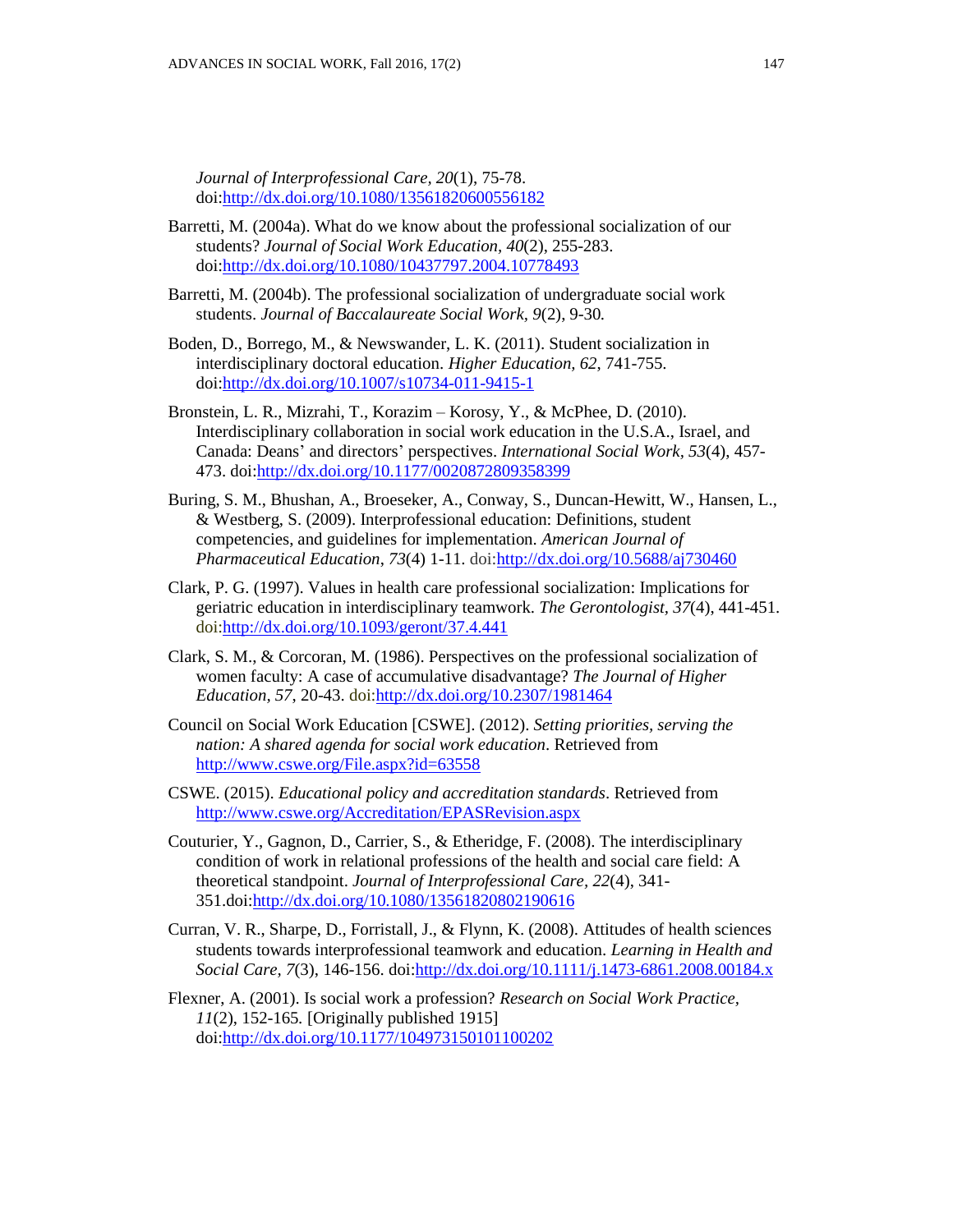*Journal of Interprofessional Care, 20*(1), 75-78. doi[:http://dx.doi.org/10.1080/13561820600556182](http://dx.doi.org/10.1080/13561820600556182)

- Barretti, M. (2004a). What do we know about the professional socialization of our students? *Journal of Social Work Education, 40*(2), 255-283. doi[:http://dx.doi.org/10.1080/10437797.2004.10778493](http://dx.doi.org/10.1080/10437797.2004.10778493)
- Barretti, M. (2004b). The professional socialization of undergraduate social work students. *Journal of Baccalaureate Social Work, 9*(2), 9-30*.*
- Boden, D., Borrego, M., & Newswander, L. K. (2011). Student socialization in interdisciplinary doctoral education. *Higher Education, 62*, 741-755. doi[:http://dx.doi.org/10.1007/s10734-011-9415-1](http://dx.doi.org/10.1007/s10734-011-9415-1)
- Bronstein, L. R., Mizrahi, T., Korazim Korosy, Y., & McPhee, D. (2010). Interdisciplinary collaboration in social work education in the U.S.A., Israel, and Canada: Deans' and directors' perspectives. *International Social Work, 53*(4), 457- 473. doi[:http://dx.doi.org/10.1177/0020872809358399](http://dx.doi.org/10.1177/0020872809358399)
- Buring, S. M., Bhushan, A., Broeseker, A., Conway, S., Duncan-Hewitt, W., Hansen, L., & Westberg, S. (2009). Interprofessional education: Definitions, student competencies, and guidelines for implementation. *American Journal of Pharmaceutical Education*, *73*(4) 1-11. doi[:http://dx.doi.org/10.5688/aj730460](http://dx.doi.org/10.5688/aj730460)
- Clark, P. G. (1997). Values in health care professional socialization: Implications for geriatric education in interdisciplinary teamwork. *The Gerontologist, 37*(4), 441-451. doi[:http://dx.doi.org/10.1093/geront/37.4.441](http://dx.doi.org/10.1093/geront/37.4.441)
- Clark, S. M., & Corcoran, M. (1986). Perspectives on the professional socialization of women faculty: A case of accumulative disadvantage? *The Journal of Higher Education, 57*, 20-43. doi[:http://dx.doi.org/10.2307/1981464](http://dx.doi.org/10.2307/1981464)
- Council on Social Work Education [CSWE]. (2012). *Setting priorities, serving the nation: A shared agenda for social work education*. Retrieved from <http://www.cswe.org/File.aspx?id=63558>
- CSWE. (2015). *Educational policy and accreditation standards*. Retrieved from <http://www.cswe.org/Accreditation/EPASRevision.aspx>
- Couturier, Y., Gagnon, D., Carrier, S., & Etheridge, F. (2008). The interdisciplinary condition of work in relational professions of the health and social care field: A theoretical standpoint. *Journal of Interprofessional Care, 22*(4), 341- 351.doi[:http://dx.doi.org/10.1080/13561820802190616](http://dx.doi.org/10.1080/13561820802190616)
- Curran, V. R., Sharpe, D., Forristall, J., & Flynn, K. (2008). Attitudes of health sciences students towards interprofessional teamwork and education. *Learning in Health and Social Care, 7*(3), 146-156. doi[:http://dx.doi.org/10.1111/j.1473-6861.2008.00184.x](http://dx.doi.org/10.1111/j.1473-6861.2008.00184.x)
- Flexner, A. (2001). Is social work a profession? *Research on Social Work Practice, 11*(2), 152-165*.* [Originally published 1915] doi[:http://dx.doi.org/10.1177/104973150101100202](http://dx.doi.org/10.1177/104973150101100202)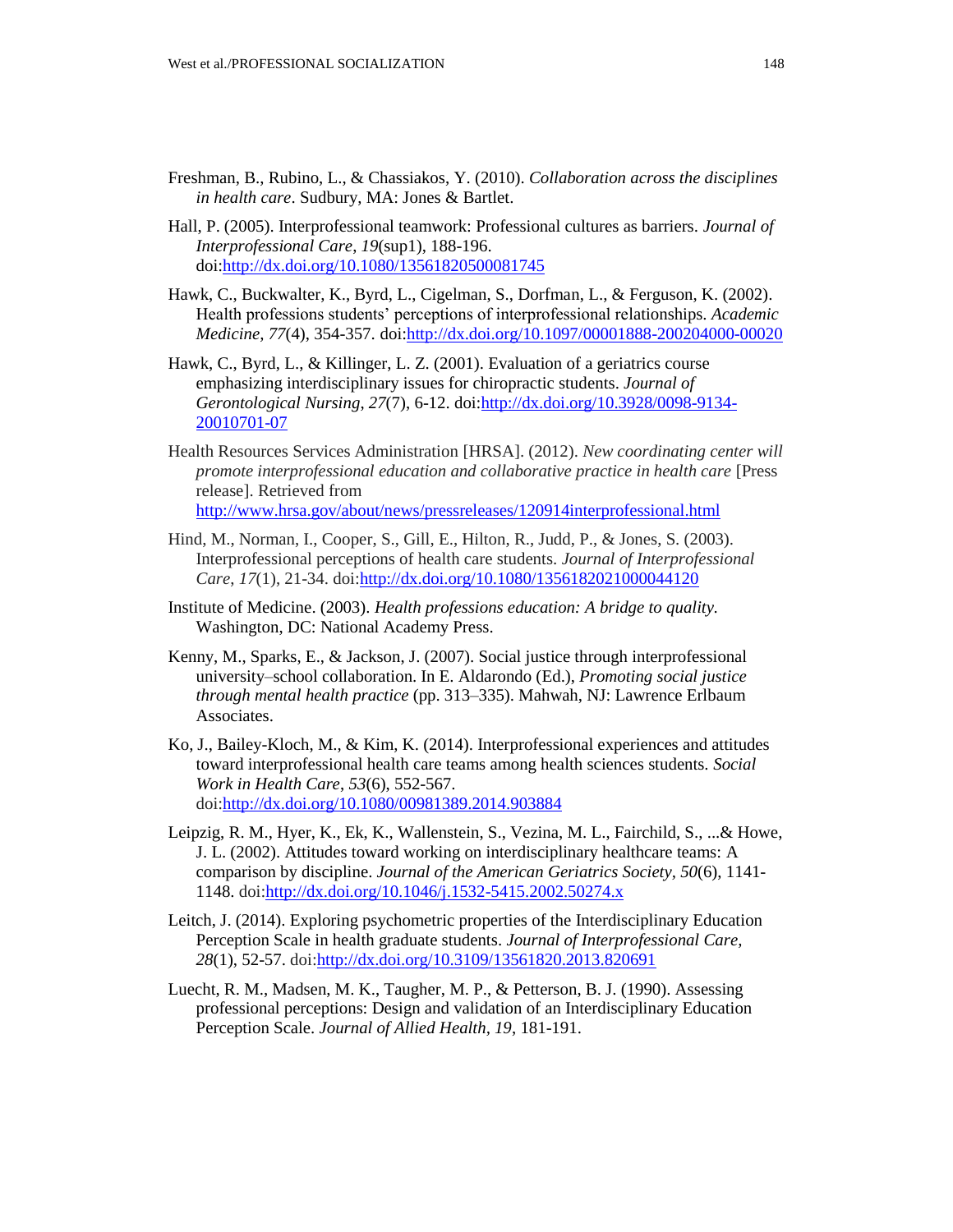- Freshman, B., Rubino, L., & Chassiakos, Y. (2010). *Collaboration across the disciplines in health care*. Sudbury, MA: Jones & Bartlet.
- Hall, P. (2005). Interprofessional teamwork: Professional cultures as barriers. *Journal of Interprofessional Care*, *19*(sup1), 188-196. doi[:http://dx.doi.org/10.1080/13561820500081745](http://dx.doi.org/10.1080/13561820500081745)
- Hawk, C., Buckwalter, K., Byrd, L., Cigelman, S., Dorfman, L., & Ferguson, K. (2002). Health professions students' perceptions of interprofessional relationships. *Academic Medicine, 77*(4), 354-357. doi[:http://dx.doi.org/10.1097/00001888-200204000-00020](http://dx.doi.org/10.1097/00001888-200204000-00020)
- Hawk, C., Byrd, L., & Killinger, L. Z. (2001). Evaluation of a geriatrics course emphasizing interdisciplinary issues for chiropractic students. *Journal of Gerontological Nursing*, *27*(7), 6-12. doi[:http://dx.doi.org/10.3928/0098-9134-](http://dx.doi.org/10.3928/0098-9134-20010701-07) [20010701-07](http://dx.doi.org/10.3928/0098-9134-20010701-07)
- Health Resources Services Administration [HRSA]. (2012). *New coordinating center will promote interprofessional education and collaborative practice in health care* [Press release]. Retrieved from <http://www.hrsa.gov/about/news/pressreleases/120914interprofessional.html>
- Hind, M., Norman, I., Cooper, S., Gill, E., Hilton, R., Judd, P., & Jones, S. (2003). Interprofessional perceptions of health care students. *Journal of Interprofessional Care*, *17*(1), 21-34. doi[:http://dx.doi.org/10.1080/1356182021000044120](http://dx.doi.org/10.1080/1356182021000044120)
- Institute of Medicine. (2003). *Health professions education: A bridge to quality.* Washington, DC: National Academy Press.
- Kenny, M., Sparks, E., & Jackson, J. (2007). Social justice through interprofessional university–school collaboration. In E. Aldarondo (Ed.), *Promoting social justice through mental health practice* (pp. 313–335). Mahwah, NJ: Lawrence Erlbaum Associates.
- Ko, J., Bailey-Kloch, M., & Kim, K. (2014). Interprofessional experiences and attitudes toward interprofessional health care teams among health sciences students. *Social Work in Health Care*, *53*(6), 552-567. doi[:http://dx.doi.org/10.1080/00981389.2014.903884](http://dx.doi.org/10.1080/00981389.2014.903884)
- Leipzig, R. M., Hyer, K., Ek, K., Wallenstein, S., Vezina, M. L., Fairchild, S., ...& Howe, J. L. (2002). Attitudes toward working on interdisciplinary healthcare teams: A comparison by discipline. *Journal of the American Geriatrics Society, 50*(6), 1141- 1148. doi[:http://dx.doi.org/10.1046/j.1532-5415.2002.50274.x](http://dx.doi.org/10.1046/j.1532-5415.2002.50274.x)
- Leitch, J. (2014). Exploring psychometric properties of the Interdisciplinary Education Perception Scale in health graduate students. *Journal of Interprofessional Care, 28*(1), 52-57. doi[:http://dx.doi.org/10.3109/13561820.2013.820691](http://dx.doi.org/10.3109/13561820.2013.820691)
- Luecht, R. M., Madsen, M. K., Taugher, M. P., & Petterson, B. J. (1990). Assessing professional perceptions: Design and validation of an Interdisciplinary Education Perception Scale. *Journal of Allied Health, 19*, 181-191.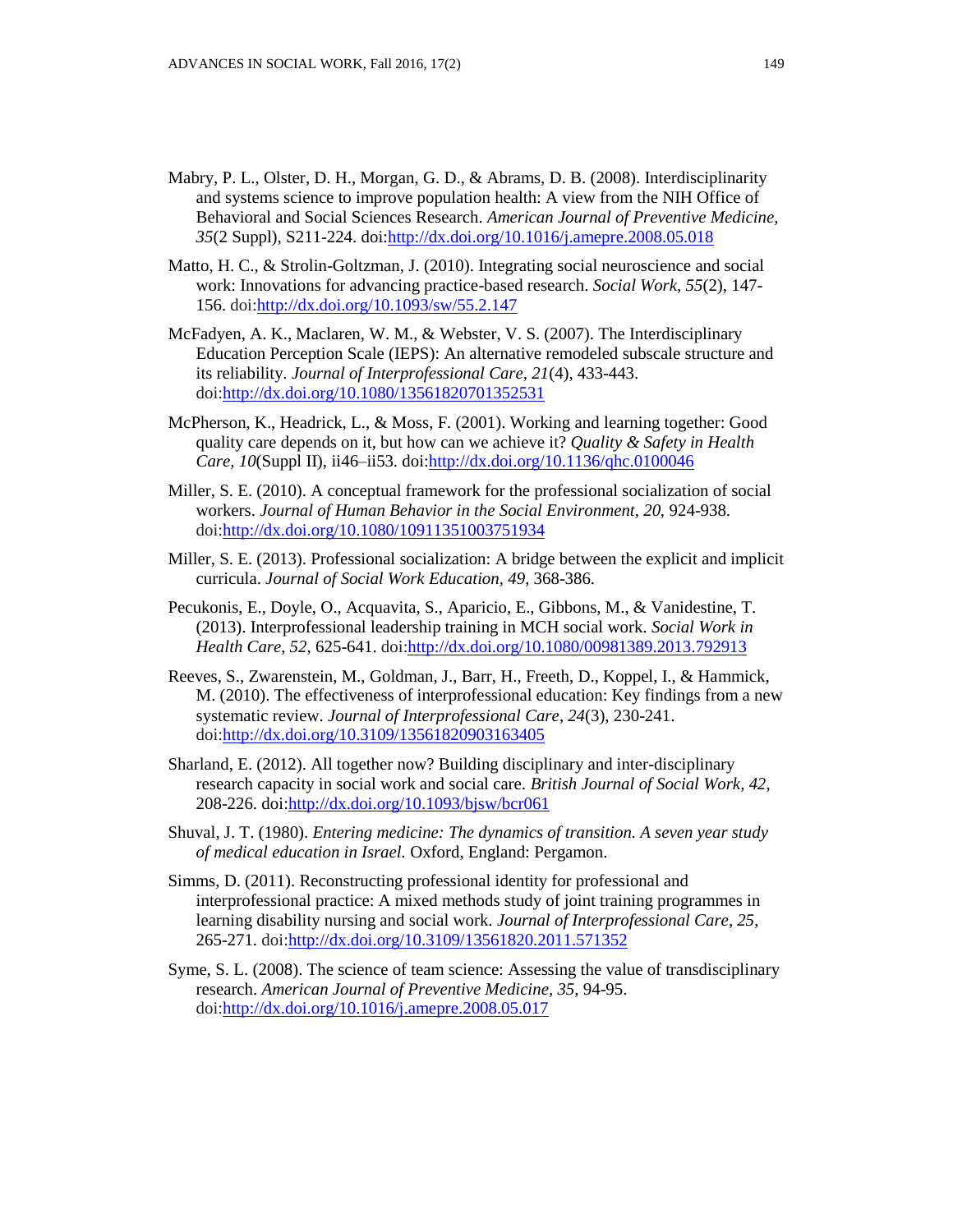- Mabry, P. L., Olster, D. H., Morgan, G. D., & Abrams, D. B. (2008). Interdisciplinarity and systems science to improve population health: A view from the NIH Office of Behavioral and Social Sciences Research. *American Journal of Preventive Medicine, 35*(2 Suppl), S211-224. doi[:http://dx.doi.org/10.1016/j.amepre.2008.05.018](http://dx.doi.org/10.1016/j.amepre.2008.05.018)
- Matto, H. C., & Strolin-Goltzman, J. (2010). Integrating social neuroscience and social work: Innovations for advancing practice-based research. *Social Work, 55*(2), 147- 156. doi[:http://dx.doi.org/10.1093/sw/55.2.147](http://dx.doi.org/10.1093/sw/55.2.147)
- McFadyen, A. K., Maclaren, W. M., & Webster, V. S. (2007). The Interdisciplinary Education Perception Scale (IEPS): An alternative remodeled subscale structure and its reliability. *Journal of Interprofessional Care, 21*(4), 433-443. doi[:http://dx.doi.org/10.1080/13561820701352531](http://dx.doi.org/10.1080/13561820701352531)
- McPherson, K., Headrick, L., & Moss, F. (2001). Working and learning together: Good quality care depends on it, but how can we achieve it? *Quality & Safety in Health Care, 10*(Suppl II), ii46–ii53. doi[:http://dx.doi.org/10.1136/qhc.0100046](http://dx.doi.org/10.1136/qhc.0100046)
- Miller, S. E. (2010). A conceptual framework for the professional socialization of social workers. *Journal of Human Behavior in the Social Environment, 20,* 924-938. doi[:http://dx.doi.org/10.1080/10911351003751934](http://dx.doi.org/10.1080/10911351003751934)
- Miller, S. E. (2013). Professional socialization: A bridge between the explicit and implicit curricula. *Journal of Social Work Education, 49*, 368-386.
- Pecukonis, E., Doyle, O., Acquavita, S., Aparicio, E., Gibbons, M., & Vanidestine, T. (2013). Interprofessional leadership training in MCH social work. *Social Work in Health Care, 52*, 625-641. doi[:http://dx.doi.org/10.1080/00981389.2013.792913](http://dx.doi.org/10.1080/00981389.2013.792913)
- Reeves, S., Zwarenstein, M., Goldman, J., Barr, H., Freeth, D., Koppel, I., & Hammick, M. (2010). The effectiveness of interprofessional education: Key findings from a new systematic review. *Journal of Interprofessional Care*, *24*(3), 230-241. doi[:http://dx.doi.org/10.3109/13561820903163405](http://dx.doi.org/10.3109/13561820903163405)
- Sharland, E. (2012). All together now? Building disciplinary and inter-disciplinary research capacity in social work and social care. *British Journal of Social Work, 42*, 208-226. doi[:http://dx.doi.org/10.1093/bjsw/bcr061](http://dx.doi.org/10.1093/bjsw/bcr061)
- Shuval, J. T. (1980). *Entering medicine: The dynamics of transition. A seven year study of medical education in Israel.* Oxford, England: Pergamon.
- Simms, D. (2011). Reconstructing professional identity for professional and interprofessional practice: A mixed methods study of joint training programmes in learning disability nursing and social work. *Journal of Interprofessional Care, 25*, 265-271. doi[:http://dx.doi.org/10.3109/13561820.2011.571352](http://dx.doi.org/10.3109/13561820.2011.571352)
- Syme, S. L. (2008). The science of team science: Assessing the value of transdisciplinary research. *American Journal of Preventive Medicine, 35*, 94-95. doi[:http://dx.doi.org/10.1016/j.amepre.2008.05.017](http://dx.doi.org/10.1016/j.amepre.2008.05.017)